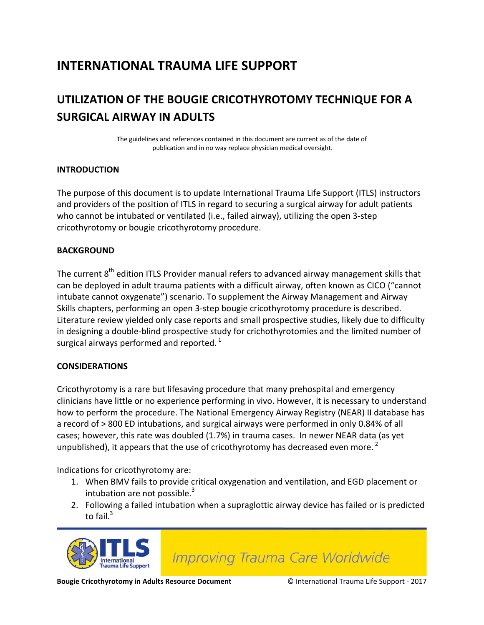## **INTERNATIONAL TRAUMA LIFE SUPPORT**

## **UTILIZATION OF THE BOUGIE CRICOTHYROTOMY TECHNIQUE FOR A SURGICAL AIRWAY IN ADULTS**

The guidelines and references contained in this document are current as of the date of publication and in no way replace physician medical oversight.

#### **INTRODUCTION**

The purpose of this document is to update International Trauma Life Support (ITLS) instructors and providers of the position of ITLS in regard to securing a surgical airway for adult patients who cannot be intubated or ventilated (i.e., failed airway), utilizing the open 3-step cricothyrotomy or bougie cricothyrotomy procedure.

#### **BACKGROUND**

The current 8<sup>th</sup> edition ITLS Provider manual refers to advanced airway management skills that can be deployed in adult trauma patients with a difficult airway, often known as CICO ("cannot intubate cannot oxygenate") scenario. To supplement the Airway Management and Airway Skills chapters, performing an open 3-step bougie cricothyrotomy procedure is described. Literature review yielded only case reports and small prospective studies, likely due to difficulty in designing a double-blind prospective study for crichothyrotomies and the limited number of surgical airways performed and reported.  $^{1}$ 

#### **CONSIDERATIONS**

Cricothyrotomy is a rare but lifesaving procedure that many prehospital and emergency clinicians have little or no experience performing in vivo. However, it is necessary to understand how to perform the procedure. The National Emergency Airway Registry (NEAR) II database has a record of > 800 ED intubations, and surgical airways were performed in only 0.84% of all cases; however, this rate was doubled (1.7%) in trauma cases. In newer NEAR data (as yet unpublished), it appears that the use of cricothyrotomy has decreased even more.<sup>2</sup>

Indications for cricothyrotomy are:

- 1. When BMV fails to provide critical oxygenation and ventilation, and EGD placement or intubation are not possible. $3$
- 2. Following a failed intubation when a supraglottic airway device has failed or is predicted to fail. $3$



**Improving Trauma Care Worldwide** 

**Bougie Cricothyrotomy in Adults Resource Document** © International Trauma Life Support - 2017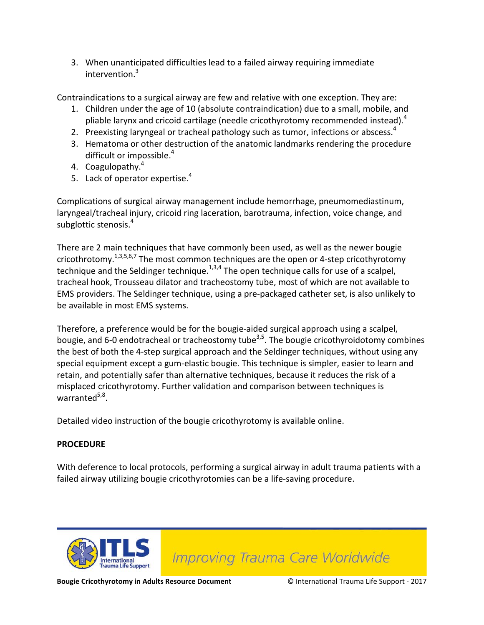3. When unanticipated difficulties lead to a failed airway requiring immediate intervention.<sup>3</sup>

Contraindications to a surgical airway are few and relative with one exception. They are:

- 1. Children under the age of 10 (absolute contraindication) due to a small, mobile, and pliable larynx and cricoid cartilage (needle cricothyrotomy recommended instead). $4$
- 2. Preexisting laryngeal or tracheal pathology such as tumor, infections or abscess.  $4$
- 3. Hematoma or other destruction of the anatomic landmarks rendering the procedure difficult or impossible.<sup>4</sup>
- 4. Coagulopathy.<sup>4</sup>
- 5. Lack of operator expertise.<sup>4</sup>

Complications of surgical airway management include hemorrhage, pneumomediastinum, laryngeal/tracheal injury, cricoid ring laceration, barotrauma, infection, voice change, and subglottic stenosis. 4

There are 2 main techniques that have commonly been used, as well as the newer bougie cricothrotomy.<sup>1,3,5,6,7</sup> The most common techniques are the open or 4-step cricothyrotomy technique and the Seldinger technique.<sup>1,3,4</sup> The open technique calls for use of a scalpel, tracheal hook, Trousseau dilator and tracheostomy tube, most of which are not available to EMS providers. The Seldinger technique, using a pre-packaged catheter set, is also unlikely to be available in most EMS systems.

Therefore, a preference would be for the bougie-aided surgical approach using a scalpel, bougie, and 6-0 endotracheal or tracheostomy tube<sup>3,5</sup>. The bougie cricothyroidotomy combines the best of both the 4-step surgical approach and the Seldinger techniques, without using any special equipment except a gum-elastic bougie. This technique is simpler, easier to learn and retain, and potentially safer than alternative techniques, because it reduces the risk of a misplaced cricothyrotomy. Further validation and comparison between techniques is warranted<sup>5,8</sup>.

Detailed video instruction of the bougie cricothyrotomy is available online.

#### **PROCEDURE**

With deference to local protocols, performing a surgical airway in adult trauma patients with a failed airway utilizing bougie cricothyrotomies can be a life-saving procedure.



**Improving Trauma Care Worldwide** 

**Bougie Cricothyrotomy in Adults Resource Document** © International Trauma Life Support - 2017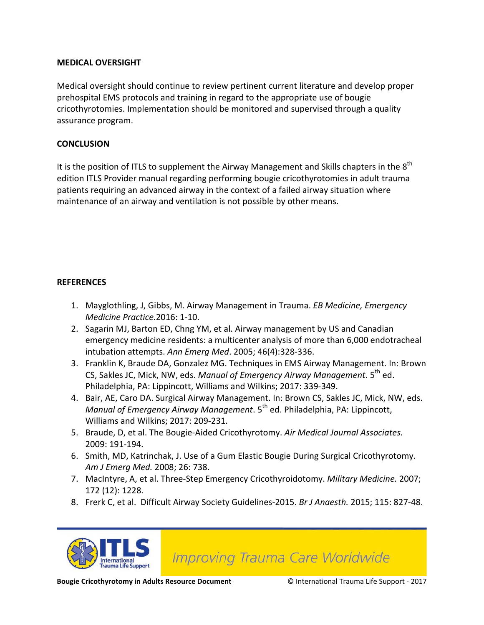#### **MEDICAL OVERSIGHT**

Medical oversight should continue to review pertinent current literature and develop proper prehospital EMS protocols and training in regard to the appropriate use of bougie cricothyrotomies. Implementation should be monitored and supervised through a quality assurance program.

#### **CONCLUSION**

It is the position of ITLS to supplement the Airway Management and Skills chapters in the  $8<sup>th</sup>$ edition ITLS Provider manual regarding performing bougie cricothyrotomies in adult trauma patients requiring an advanced airway in the context of a failed airway situation where maintenance of an airway and ventilation is not possible by other means.

#### **REFERENCES**

- 1. Mayglothling, J, Gibbs, M. Airway Management in Trauma. *EB Medicine, Emergency Medicine Practice.*2016: 1-10.
- 2. Sagarin MJ, Barton ED, Chng YM, et al. Airway management by US and Canadian emergency medicine residents: a multicenter analysis of more than 6,000 endotracheal intubation attempts. *Ann Emerg Med*. 2005; 46(4):328-336.
- 3. Franklin K, Braude DA, Gonzalez MG. Techniques in EMS Airway Management. In: Brown CS, Sakles JC, Mick, NW, eds. *Manual of Emergency Airway Management*. 5th ed. Philadelphia, PA: Lippincott, Williams and Wilkins; 2017: 339-349.
- 4. Bair, AE, Caro DA. Surgical Airway Management. In: Brown CS, Sakles JC, Mick, NW, eds. *Manual of Emergency Airway Management*. 5<sup>th</sup> ed. Philadelphia, PA: Lippincott, Williams and Wilkins; 2017: 209-231.
- 5. Braude, D, et al. The Bougie-Aided Cricothyrotomy. *Air Medical Journal Associates.* 2009: 191-194.
- 6. Smith, MD, Katrinchak, J. Use of a Gum Elastic Bougie During Surgical Cricothyrotomy. *Am J Emerg Med.* 2008; 26: 738.
- 7. MacIntyre, A, et al. Three-Step Emergency Cricothyroidotomy. *Military Medicine.* 2007; 172 (12): 1228.
- 8. Frerk C, et al. Difficult Airway Society Guidelines-2015. *Br J Anaesth.* 2015; 115: 827-48.



**Improving Trauma Care Worldwide**